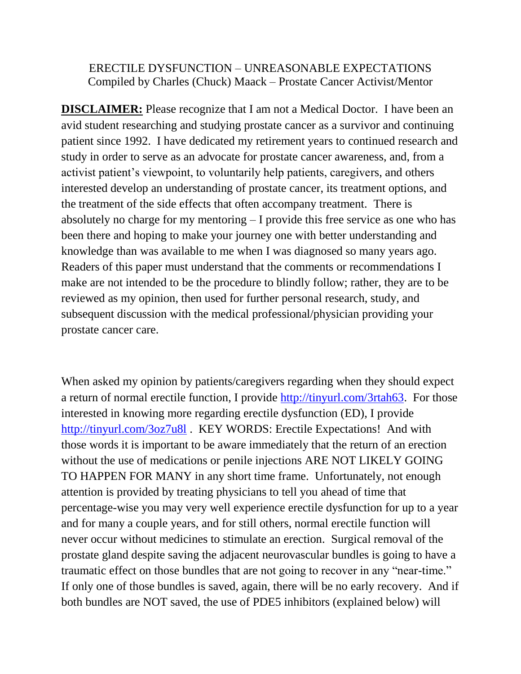#### ERECTILE DYSFUNCTION – UNREASONABLE EXPECTATIONS Compiled by Charles (Chuck) Maack – Prostate Cancer Activist/Mentor

**DISCLAIMER:** Please recognize that I am not a Medical Doctor. I have been an avid student researching and studying prostate cancer as a survivor and continuing patient since 1992. I have dedicated my retirement years to continued research and study in order to serve as an advocate for prostate cancer awareness, and, from a activist patient's viewpoint, to voluntarily help patients, caregivers, and others interested develop an understanding of prostate cancer, its treatment options, and the treatment of the side effects that often accompany treatment. There is absolutely no charge for my mentoring – I provide this free service as one who has been there and hoping to make your journey one with better understanding and knowledge than was available to me when I was diagnosed so many years ago. Readers of this paper must understand that the comments or recommendations I make are not intended to be the procedure to blindly follow; rather, they are to be reviewed as my opinion, then used for further personal research, study, and subsequent discussion with the medical professional/physician providing your prostate cancer care.

When asked my opinion by patients/caregivers regarding when they should expect a return of normal erectile function, I provide [http://tinyurl.com/3rtah63.](http://tinyurl.com/3rtah63) For those interested in knowing more regarding erectile dysfunction (ED), I provide <http://tinyurl.com/3oz7u8l> . KEY WORDS: Erectile Expectations! And with those words it is important to be aware immediately that the return of an erection without the use of medications or penile injections ARE NOT LIKELY GOING TO HAPPEN FOR MANY in any short time frame. Unfortunately, not enough attention is provided by treating physicians to tell you ahead of time that percentage-wise you may very well experience erectile dysfunction for up to a year and for many a couple years, and for still others, normal erectile function will never occur without medicines to stimulate an erection. Surgical removal of the prostate gland despite saving the adjacent neurovascular bundles is going to have a traumatic effect on those bundles that are not going to recover in any "near-time." If only one of those bundles is saved, again, there will be no early recovery. And if both bundles are NOT saved, the use of PDE5 inhibitors (explained below) will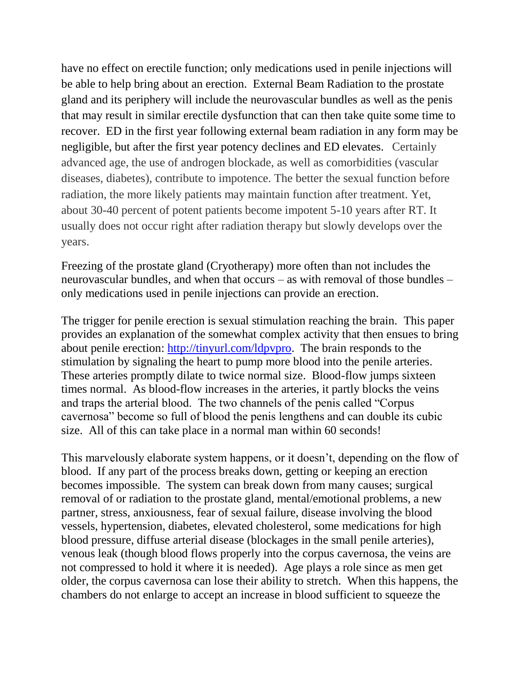have no effect on erectile function; only medications used in penile injections will be able to help bring about an erection. External Beam Radiation to the prostate gland and its periphery will include the neurovascular bundles as well as the penis that may result in similar erectile dysfunction that can then take quite some time to recover. ED in the first year following external beam radiation in any form may be negligible, but after the first year potency declines and ED elevates. Certainly advanced age, the use of androgen blockade, as well as comorbidities (vascular diseases, diabetes), contribute to impotence. The better the sexual function before radiation, the more likely patients may maintain function after treatment. Yet, about 30-40 percent of potent patients become impotent 5-10 years after RT. It usually does not occur right after radiation therapy but slowly develops over the years.

Freezing of the prostate gland (Cryotherapy) more often than not includes the neurovascular bundles, and when that occurs – as with removal of those bundles – only medications used in penile injections can provide an erection.

The trigger for penile erection is sexual stimulation reaching the brain. This paper provides an explanation of the somewhat complex activity that then ensues to bring about penile erection: [http://tinyurl.com/ldpvpro.](http://tinyurl.com/ldpvpro) The brain responds to the stimulation by signaling the heart to pump more blood into the penile arteries. These arteries promptly dilate to twice normal size. Blood-flow jumps sixteen times normal. As blood-flow increases in the arteries, it partly blocks the veins and traps the arterial blood. The two channels of the penis called "Corpus cavernosa" become so full of blood the penis lengthens and can double its cubic size. All of this can take place in a normal man within 60 seconds!

This marvelously elaborate system happens, or it doesn't, depending on the flow of blood. If any part of the process breaks down, getting or keeping an erection becomes impossible. The system can break down from many causes; surgical removal of or radiation to the prostate gland, mental/emotional problems, a new partner, stress, anxiousness, fear of sexual failure, disease involving the blood vessels, hypertension, diabetes, elevated cholesterol, some medications for high blood pressure, diffuse arterial disease (blockages in the small penile arteries), venous leak (though blood flows properly into the corpus cavernosa, the veins are not compressed to hold it where it is needed). Age plays a role since as men get older, the corpus cavernosa can lose their ability to stretch. When this happens, the chambers do not enlarge to accept an increase in blood sufficient to squeeze the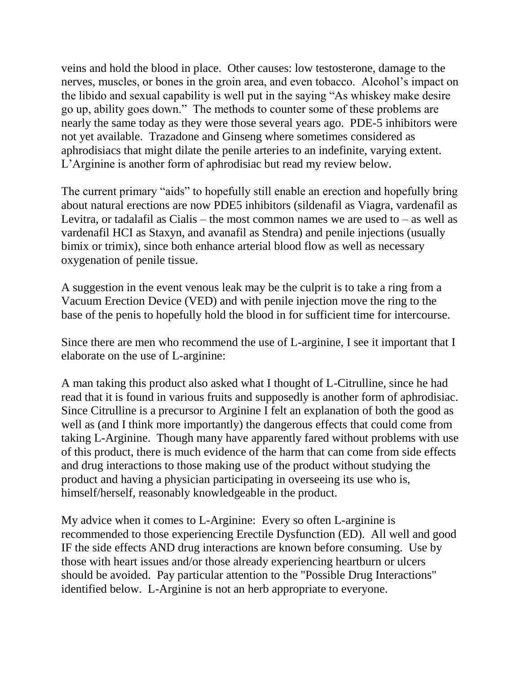veins and hold the blood in place. Other causes: low testosterone, damage to the nerves, muscles, or bones in the groin area, and even tobacco. Alcohol's impact on the libido and sexual capability is well put in the saying "As whiskey make desire go up, ability goes down." The methods to counter some of these problems are nearly the same today as they were those several years ago. PDE-5 inhibitors were not yet available. Trazadone and Ginseng where sometimes considered as aphrodisiacs that might dilate the penile arteries to an indefinite, varying extent. L'Arginine is another form of aphrodisiac but read my review below.

The current primary "aids" to hopefully still enable an erection and hopefully bring about natural erections are now PDE5 inhibitors (sildenafil as Viagra, vardenafil as Levitra, or tadalafil as Cialis – the most common names we are used to – as well as vardenafil HCI as Staxyn, and avanafil as Stendra) and penile injections (usually bimix or trimix), since both enhance arterial blood flow as well as necessary oxygenation of penile tissue.

A suggestion in the event venous leak may be the culprit is to take a ring from a Vacuum Erection Device (VED) and with penile injection move the ring to the base of the penis to hopefully hold the blood in for sufficient time for intercourse.

Since there are men who recommend the use of L-arginine, I see it important that I elaborate on the use of L-arginine:

A man taking this product also asked what I thought of L-Citrulline, since he had read that it is found in various fruits and supposedly is another form of aphrodisiac. Since Citrulline is a precursor to Arginine I felt an explanation of both the good as well as (and I think more importantly) the dangerous effects that could come from taking L-Arginine. Though many have apparently fared without problems with use of this product, there is much evidence of the harm that can come from side effects and drug interactions to those making use of the product without studying the product and having a physician participating in overseeing its use who is, himself/herself, reasonably knowledgeable in the product.

My advice when it comes to L-Arginine: Every so often L-arginine is recommended to those experiencing Erectile Dysfunction (ED). All well and good IF the side effects AND drug interactions are known before consuming. Use by those with heart issues and/or those already experiencing heartburn or ulcers should be avoided. Pay particular attention to the "Possible Drug Interactions" identified below. L-Arginine is not an herb appropriate to everyone.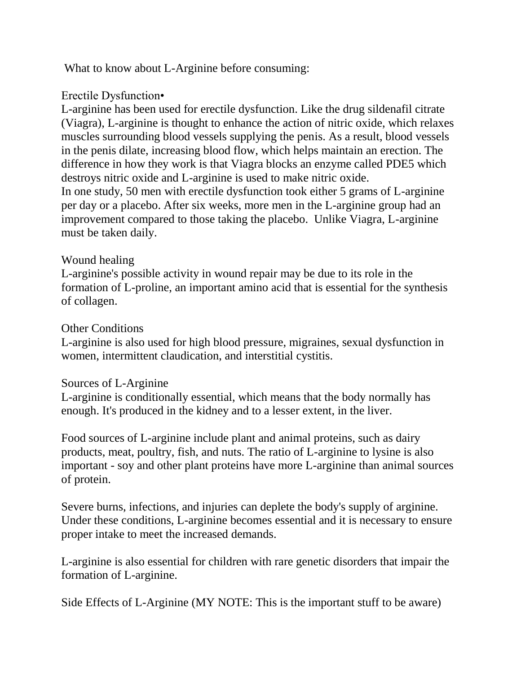What to know about L-Arginine before consuming:

# Erectile Dysfunction•

L-arginine has been used for erectile dysfunction. Like the drug sildenafil citrate (Viagra), L-arginine is thought to enhance the action of nitric oxide, which relaxes muscles surrounding blood vessels supplying the penis. As a result, blood vessels in the penis dilate, increasing blood flow, which helps maintain an erection. The difference in how they work is that Viagra blocks an enzyme called PDE5 which destroys nitric oxide and L-arginine is used to make nitric oxide.

In one study, 50 men with erectile dysfunction took either 5 grams of L-arginine per day or a placebo. After six weeks, more men in the L-arginine group had an improvement compared to those taking the placebo. Unlike Viagra, L-arginine must be taken daily.

# Wound healing

L-arginine's possible activity in wound repair may be due to its role in the formation of L-proline, an important amino acid that is essential for the synthesis of collagen.

### Other Conditions

L-arginine is also used for high blood pressure, migraines, sexual dysfunction in women, intermittent claudication, and interstitial cystitis.

#### Sources of L-Arginine

L-arginine is conditionally essential, which means that the body normally has enough. It's produced in the kidney and to a lesser extent, in the liver.

Food sources of L-arginine include plant and animal proteins, such as dairy products, meat, poultry, fish, and nuts. The ratio of L-arginine to lysine is also important - soy and other plant proteins have more L-arginine than animal sources of protein.

Severe burns, infections, and injuries can deplete the body's supply of arginine. Under these conditions, L-arginine becomes essential and it is necessary to ensure proper intake to meet the increased demands.

L-arginine is also essential for children with rare genetic disorders that impair the formation of L-arginine.

Side Effects of L-Arginine (MY NOTE: This is the important stuff to be aware)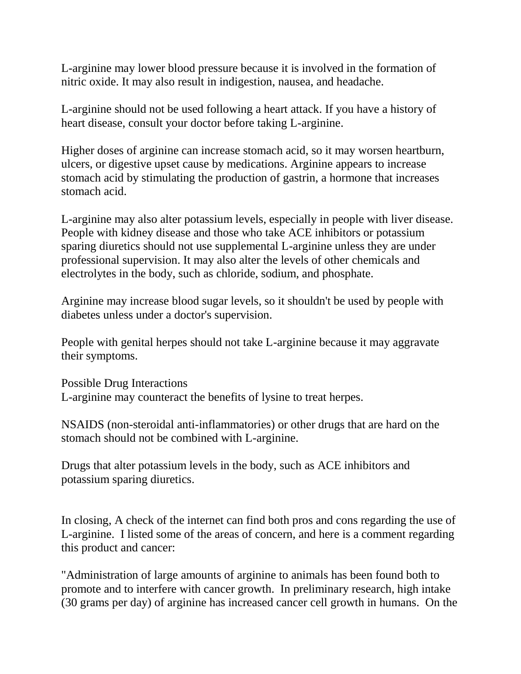L-arginine may lower blood pressure because it is involved in the formation of nitric oxide. It may also result in indigestion, nausea, and headache.

L-arginine should not be used following a heart attack. If you have a history of heart disease, consult your doctor before taking L-arginine.

Higher doses of arginine can increase stomach acid, so it may worsen heartburn, ulcers, or digestive upset cause by medications. Arginine appears to increase stomach acid by stimulating the production of gastrin, a hormone that increases stomach acid.

L-arginine may also alter potassium levels, especially in people with liver disease. People with kidney disease and those who take ACE inhibitors or potassium sparing diuretics should not use supplemental L-arginine unless they are under professional supervision. It may also alter the levels of other chemicals and electrolytes in the body, such as chloride, sodium, and phosphate.

Arginine may increase blood sugar levels, so it shouldn't be used by people with diabetes unless under a doctor's supervision.

People with genital herpes should not take L-arginine because it may aggravate their symptoms.

Possible Drug Interactions L-arginine may counteract the benefits of lysine to treat herpes.

NSAIDS (non-steroidal anti-inflammatories) or other drugs that are hard on the stomach should not be combined with L-arginine.

Drugs that alter potassium levels in the body, such as ACE inhibitors and potassium sparing diuretics.

In closing, A check of the internet can find both pros and cons regarding the use of L-arginine. I listed some of the areas of concern, and here is a comment regarding this product and cancer:

"Administration of large amounts of arginine to animals has been found both to promote and to interfere with cancer growth. In preliminary research, high intake (30 grams per day) of arginine has increased cancer cell growth in humans. On the